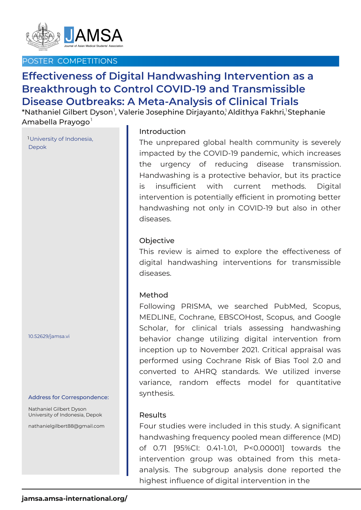

# POSTER COMPETITIONS

# **Effectiveness of Digital Handwashing Intervention as a Breakthrough to Control COVID-19 and Transmissible Disease Outbreaks: A Meta-Analysis of Clinical Trials**

 $^\ast$ Nathaniel Gilbert Dyson $^{\textsf{l}}$ , Valerie Josephine Dirjayanto, $^{\textsf{l}}$ Aldithya Fakhri, $^{\textsf{l}}$ Stephanie Amabella Prayogo<sup>1</sup>

University of Indonesia, 1 Depok

10.52629/jamsa.vi

#### Address for Correspondence:

Nathaniel Gilbert Dyson University of Indonesia, Depok

nathanielgilbert88@gmail.com

## Introduction

The unprepared global health community is severely impacted by the COVID-19 pandemic, which increases the urgency of reducing disease transmission. Handwashing is a protective behavior, but its practice is insufficient with current methods. Digital intervention is potentially efficient in promoting better handwashing not only in COVID-19 but also in other diseases.

### **Objective**

This review is aimed to explore the effectiveness of digital handwashing interventions for transmissible diseases.

### Method

Following PRISMA, we searched PubMed, Scopus, MEDLINE, Cochrane, EBSCOHost, Scopus, and Google Scholar, for clinical trials assessing handwashing behavior change utilizing digital intervention from inception up to November 2021. Critical appraisal was performed using Cochrane Risk of Bias Tool 2.0 and converted to AHRQ standards. We utilized inverse variance, random effects model for quantitative synthesis.

### Results

Four studies were included in this study. A significant handwashing frequency pooled mean difference (MD) of 0.71 [95%CI: 0.41-1.01, P<0.00001] towards the intervention group was obtained from this metaanalysis. The subgroup analysis done reported the highest influence of digital intervention in the